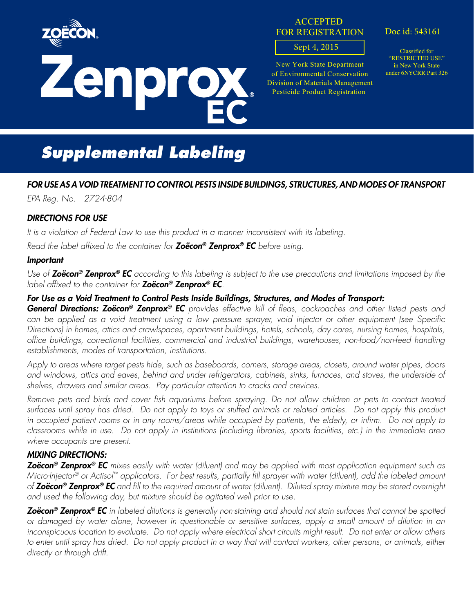

# EC Zenprox

#### **ACCEPTED** FOR REGISTRATION

#### Sept 4, 2015

New York State Department of Environmental Conservation Division of Materials Management Pesticide Product Registration

Doc id: 543161

Classified for "RESTRICTED USE" in New York State under 6NYCRR Part 326

## *Supplemental Labeling*

#### *FOR USE AS A VOID TREATMENT TO CONTROL PESTS INSIDE BUILDINGS, STRUCTURES, AND MODES OF TRANSPORT*

*EPA Reg. No. 2724-804*

#### *DIRECTIONS FOR USE*

*It is a violation of Federal Law to use this product in a manner inconsistent with its labeling.*

*Read the label affixed to the container for Zoëcon® Zenprox® EC before using.*

#### *Important*

*Use of Zoëcon® Zenprox® EC according to this labeling is subject to the use precautions and limitations imposed by the label affixed to the container for Zoëcon® Zenprox® EC.*

#### *For Use as a Void Treatment to Control Pests Inside Buildings, Structures, and Modes of Transport:*

*General Directions: Zoëcon® Zenprox® EC provides effective kill of fleas, cockroaches and other listed pests and can be applied as a void treatment using a low pressure sprayer, void injector or other equipment (see Specific Directions) in homes, attics and crawlspaces, apartment buildings, hotels, schools, day cares, nursing homes, hospitals, office buildings, correctional facilities, commercial and industrial buildings, warehouses, non-food/non-feed handling establishments, modes of transportation, institutions.* 

*Apply to areas where target pests hide, such as baseboards, corners, storage areas, closets, around water pipes, doors and windows, attics and eaves, behind and under refrigerators, cabinets, sinks, furnaces, and stoves, the underside of shelves, drawers and similar areas. Pay particular attention to cracks and crevices.*

*Remove pets and birds and cover fish aquariums before spraying. Do not allow children or pets to contact treated surfaces until spray has dried. Do not apply to toys or stuffed animals or related articles. Do not apply this product*  in occupied patient rooms or in any rooms/areas while occupied by patients, the elderly, or infirm. Do not apply to *classrooms while in use. Do not apply in institutions (including libraries, sports facilities, etc.) in the immediate area where occupants are present.*

#### *MIXING DIRECTIONS:*

*Zoëcon® Zenprox® EC mixes easily with water (diluent) and may be applied with most application equipment such as Micro-Injector® or Actisol™ applicators. For best results, partially fill sprayer with water (diluent), add the labeled amount of Zoëcon® Zenprox® EC and fill to the required amount of water (diluent). Diluted spray mixture may be stored overnight*  and used the following day, but mixture should be agitated well prior to use.

*Zoëcon® Zenprox® EC in labeled dilutions is generally non-staining and should not stain surfaces that cannot be spotted or damaged by water alone, however in questionable or sensitive surfaces, apply a small amount of dilution in an inconspicuous location to evaluate. Do not apply where electrical short circuits might result. Do not enter or allow others*  to enter until spray has dried. Do not apply product in a way that will contact workers, other persons, or animals, either *directly or through drift.*